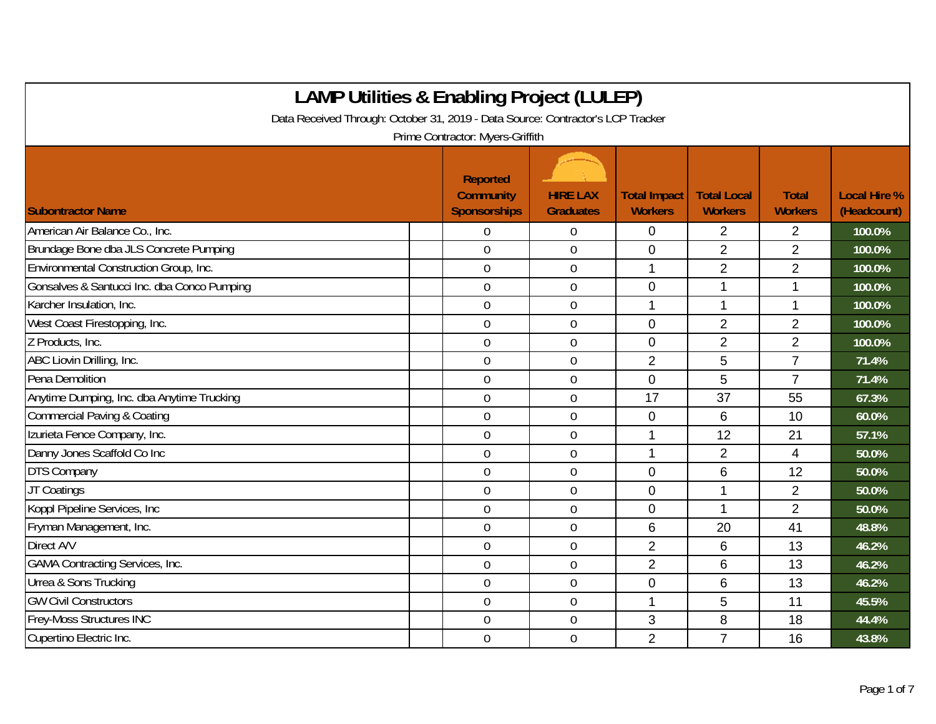| <b>LAMP Utilities &amp; Enabling Project (LULEP)</b>                            |                                              |                                     |                                       |                                      |                                |                                    |  |  |  |
|---------------------------------------------------------------------------------|----------------------------------------------|-------------------------------------|---------------------------------------|--------------------------------------|--------------------------------|------------------------------------|--|--|--|
| Data Received Through: October 31, 2019 - Data Source: Contractor's LCP Tracker |                                              |                                     |                                       |                                      |                                |                                    |  |  |  |
| Prime Contractor: Myers-Griffith                                                |                                              |                                     |                                       |                                      |                                |                                    |  |  |  |
| <b>Subontractor Name</b>                                                        | Reported<br><b>Community</b><br>Sponsorships | <b>HIRE LAX</b><br><b>Graduates</b> | <b>Total Impact</b><br><b>Workers</b> | <b>Total Local</b><br><b>Workers</b> | <b>Total</b><br><b>Workers</b> | <b>Local Hire %</b><br>(Headcount) |  |  |  |
| American Air Balance Co., Inc.                                                  | $\overline{0}$                               | $\mathbf 0$                         | $\mathbf 0$                           | $\overline{2}$                       | $\overline{2}$                 | 100.0%                             |  |  |  |
| Brundage Bone dba JLS Concrete Pumping                                          | $\mathbf 0$                                  | $\boldsymbol{0}$                    | $\mathbf 0$                           | $\overline{2}$                       | $\overline{2}$                 | 100.0%                             |  |  |  |
| Environmental Construction Group, Inc.                                          | $\overline{0}$                               | $\mathbf 0$                         | $\mathbf{1}$                          | $\overline{2}$                       | $\overline{2}$                 | 100.0%                             |  |  |  |
| Gonsalves & Santucci Inc. dba Conco Pumping                                     | $\overline{0}$                               | $\boldsymbol{0}$                    | $\mathbf 0$                           | 1                                    | 1                              | 100.0%                             |  |  |  |
| Karcher Insulation, Inc.                                                        | $\overline{0}$                               | $\mathbf 0$                         | $\mathbf 1$                           | $\mathbf 1$                          | 1                              | 100.0%                             |  |  |  |
| West Coast Firestopping, Inc.                                                   | $\mathbf 0$                                  | $\boldsymbol{0}$                    | $\mathbf{0}$                          | $\overline{2}$                       | $\overline{2}$                 | 100.0%                             |  |  |  |
| Z Products, Inc.                                                                | $\overline{0}$                               | $\mathbf 0$                         | $\mathbf 0$                           | $\overline{2}$                       | $\overline{2}$                 | 100.0%                             |  |  |  |
| ABC Liovin Drilling, Inc.                                                       | $\overline{0}$                               | $\overline{0}$                      | $\overline{2}$                        | 5                                    | $\overline{7}$                 | 71.4%                              |  |  |  |
| Pena Demolition                                                                 | $\overline{0}$                               | $\mathbf 0$                         | $\overline{0}$                        | 5                                    | $\overline{7}$                 | 71.4%                              |  |  |  |
| Anytime Dumping, Inc. dba Anytime Trucking                                      | $\overline{0}$                               | $\mathbf 0$                         | 17                                    | 37                                   | 55                             | 67.3%                              |  |  |  |
| <b>Commercial Paving &amp; Coating</b>                                          | $\mathbf 0$                                  | $\boldsymbol{0}$                    | 0                                     | 6                                    | 10                             | 60.0%                              |  |  |  |
| Izurieta Fence Company, Inc.                                                    | $0\,$                                        | $\boldsymbol{0}$                    | 1                                     | 12                                   | 21                             | 57.1%                              |  |  |  |
| Danny Jones Scaffold Co Inc                                                     | $\overline{0}$                               | $\mathbf 0$                         | 1                                     | 2                                    | $\overline{4}$                 | 50.0%                              |  |  |  |
| <b>DTS Company</b>                                                              | $\overline{0}$                               | $\mathbf 0$                         | $\mathbf{0}$                          | 6                                    | 12                             | 50.0%                              |  |  |  |
| JT Coatings                                                                     | $\overline{0}$                               | $\mathbf 0$                         | $\overline{0}$                        | 1                                    | $\overline{2}$                 | 50.0%                              |  |  |  |
| Koppl Pipeline Services, Inc.                                                   | $\mathbf 0$                                  | $\boldsymbol{0}$                    | $\mathbf 0$                           | 1                                    | $\overline{2}$                 | 50.0%                              |  |  |  |
| Fryman Management, Inc.                                                         | $\overline{0}$                               | $\mathbf 0$                         | 6                                     | 20                                   | 41                             | 48.8%                              |  |  |  |
| Direct A/V                                                                      | $\mathbf 0$                                  | $\mathbf 0$                         | $\overline{2}$                        | 6                                    | 13                             | 46.2%                              |  |  |  |
| <b>GAMA Contracting Services, Inc.</b>                                          | $\mathbf 0$                                  | $\mathbf 0$                         | $\overline{2}$                        | $6\phantom{1}6$                      | 13                             | 46.2%                              |  |  |  |
| Urrea & Sons Trucking                                                           | $\mathbf 0$                                  | $\boldsymbol{0}$                    | $\mathbf 0$                           | 6                                    | 13                             | 46.2%                              |  |  |  |
| <b>GW Civil Constructors</b>                                                    | $\overline{0}$                               | $\boldsymbol{0}$                    | $\mathbf 1$                           | 5                                    | 11                             | 45.5%                              |  |  |  |
| Frey-Moss Structures INC                                                        | $\overline{0}$                               | $\mathbf 0$                         | 3                                     | 8                                    | 18                             | 44.4%                              |  |  |  |
| Cupertino Electric Inc.                                                         | $\overline{0}$                               | $\mathbf 0$                         | $\overline{2}$                        | $\overline{7}$                       | 16                             | 43.8%                              |  |  |  |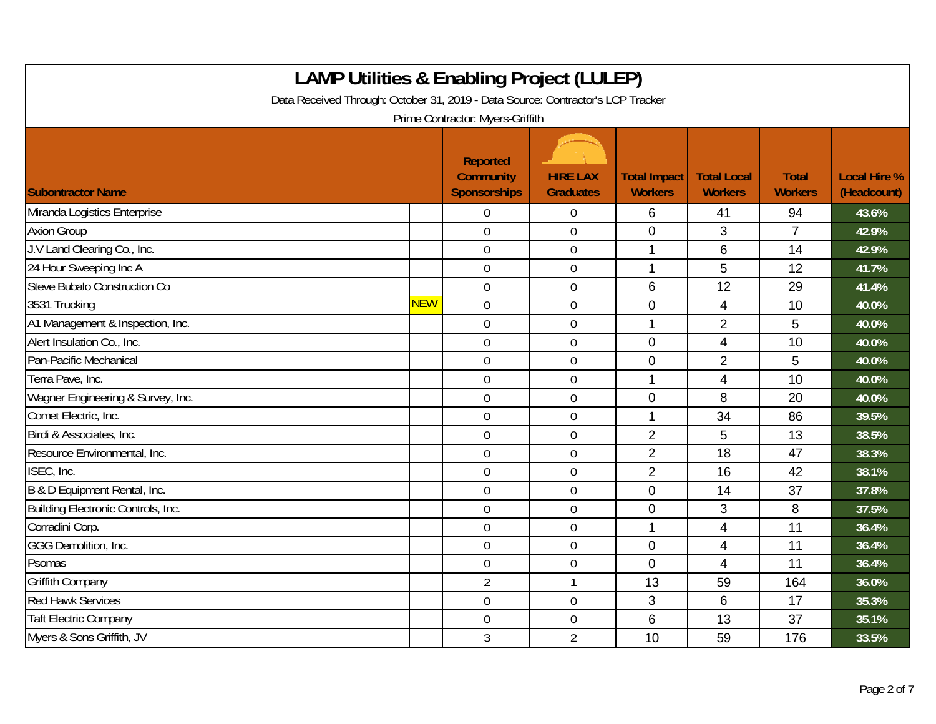| <b>LAMP Utilities &amp; Enabling Project (LULEP)</b><br>Data Received Through: October 31, 2019 - Data Source: Contractor's LCP Tracker<br>Prime Contractor: Myers-Griffith |            |                                                            |                                     |                                       |                                      |                                |                                    |  |
|-----------------------------------------------------------------------------------------------------------------------------------------------------------------------------|------------|------------------------------------------------------------|-------------------------------------|---------------------------------------|--------------------------------------|--------------------------------|------------------------------------|--|
| <b>Subontractor Name</b>                                                                                                                                                    |            | <b>Reported</b><br><b>Community</b><br><b>Sponsorships</b> | <b>HIRE LAX</b><br><b>Graduates</b> | <b>Total Impact</b><br><b>Workers</b> | <b>Total Local</b><br><b>Workers</b> | <b>Total</b><br><b>Workers</b> | <b>Local Hire %</b><br>(Headcount) |  |
| Miranda Logistics Enterprise                                                                                                                                                |            | 0                                                          | $\overline{0}$                      | 6                                     | 41                                   | 94                             | 43.6%                              |  |
| <b>Axion Group</b>                                                                                                                                                          |            | $\overline{0}$                                             | $\mathbf{0}$                        | $\overline{0}$                        | 3                                    | $\overline{7}$                 | 42.9%                              |  |
| J.V Land Clearing Co., Inc.                                                                                                                                                 |            | $\mathbf 0$                                                | $\boldsymbol{0}$                    |                                       | 6                                    | 14                             | 42.9%                              |  |
| 24 Hour Sweeping Inc A                                                                                                                                                      |            | $\mathbf 0$                                                | $\pmb{0}$                           | $\mathbf 1$                           | 5                                    | 12                             | 41.7%                              |  |
| Steve Bubalo Construction Co                                                                                                                                                |            | $\overline{0}$                                             | $\overline{0}$                      | $6\phantom{1}$                        | 12                                   | 29                             | 41.4%                              |  |
| 3531 Trucking                                                                                                                                                               | <b>NEW</b> | $\overline{0}$                                             | $\overline{0}$                      | $\overline{0}$                        | $\overline{4}$                       | 10                             | 40.0%                              |  |
| A1 Management & Inspection, Inc.                                                                                                                                            |            | $\mathbf 0$                                                | $\mathbf 0$                         | 1                                     | $\overline{2}$                       | 5                              | 40.0%                              |  |
| Alert Insulation Co., Inc.                                                                                                                                                  |            | $\mathbf 0$                                                | $\pmb{0}$                           | $\mathbf 0$                           | 4                                    | 10                             | 40.0%                              |  |
| Pan-Pacific Mechanical                                                                                                                                                      |            | $\mathbf 0$                                                | $\pmb{0}$                           | $\mathbf 0$                           | $\overline{2}$                       | 5                              | 40.0%                              |  |
| Terra Pave, Inc.                                                                                                                                                            |            | $\overline{0}$                                             | $\mathbf 0$                         | 1                                     | 4                                    | 10                             | 40.0%                              |  |
| Wagner Engineering & Survey, Inc.                                                                                                                                           |            | $\mathbf 0$                                                | $\boldsymbol{0}$                    | 0                                     | 8                                    | 20                             | 40.0%                              |  |
| Comet Electric, Inc.                                                                                                                                                        |            | $\mathbf 0$                                                | $\overline{0}$                      | 1                                     | 34                                   | 86                             | 39.5%                              |  |
| Birdi & Associates, Inc.                                                                                                                                                    |            | $\overline{0}$                                             | $\overline{0}$                      | $\overline{2}$                        | 5                                    | 13                             | 38.5%                              |  |
| Resource Environmental, Inc.                                                                                                                                                |            | $\overline{0}$                                             | $\overline{0}$                      | $\overline{2}$                        | 18                                   | 47                             | 38.3%                              |  |
| ISEC, Inc.                                                                                                                                                                  |            | $\mathbf 0$                                                | $\boldsymbol{0}$                    | $\overline{2}$                        | 16                                   | 42                             | 38.1%                              |  |
| B & D Equipment Rental, Inc.                                                                                                                                                |            | $\mathbf 0$                                                | $\mathbf 0$                         | $\overline{0}$                        | 14                                   | 37                             | 37.8%                              |  |
| Building Electronic Controls, Inc.                                                                                                                                          |            | $\mathbf 0$                                                | $\overline{0}$                      | $\overline{0}$                        | 3                                    | 8                              | 37.5%                              |  |
| Corradini Corp.                                                                                                                                                             |            | $\overline{0}$                                             | $\overline{0}$                      |                                       | 4                                    | 11                             | 36.4%                              |  |
| GGG Demolition, Inc.                                                                                                                                                        |            | $\overline{0}$                                             | $\overline{0}$                      | $\mathbf 0$                           | 4                                    | 11                             | 36.4%                              |  |
| Psomas                                                                                                                                                                      |            | $\mathbf 0$                                                | $\boldsymbol{0}$                    | $\mathbf 0$                           | $\overline{\mathbf{4}}$              | 11                             | 36.4%                              |  |
| Griffith Company                                                                                                                                                            |            | $\overline{2}$                                             | 1                                   | 13                                    | 59                                   | 164                            | 36.0%                              |  |
| <b>Red Hawk Services</b>                                                                                                                                                    |            | $\mathbf 0$                                                | $\mathbf 0$                         | 3                                     | 6                                    | 17                             | 35.3%                              |  |
| <b>Taft Electric Company</b>                                                                                                                                                |            | $\overline{0}$                                             | $\mathbf 0$                         | 6                                     | 13                                   | 37                             | 35.1%                              |  |
| Myers & Sons Griffith, JV                                                                                                                                                   |            | 3                                                          | $\overline{2}$                      | 10                                    | 59                                   | 176                            | 33.5%                              |  |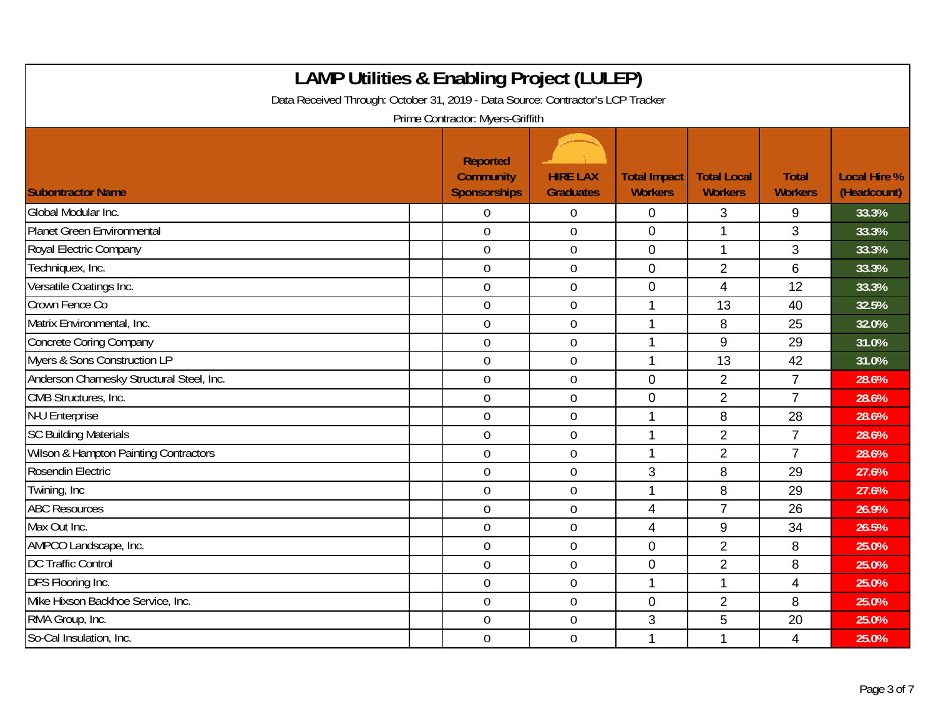| <b>LAMP Utilities &amp; Enabling Project (LULEP)</b><br>Data Received Through: October 31, 2019 - Data Source: Contractor's LCP Tracker<br>Prime Contractor: Myers-Griffith |                                                            |                                     |                                       |                                      |                                |                                    |  |  |
|-----------------------------------------------------------------------------------------------------------------------------------------------------------------------------|------------------------------------------------------------|-------------------------------------|---------------------------------------|--------------------------------------|--------------------------------|------------------------------------|--|--|
| <b>Subontractor Name</b>                                                                                                                                                    | <b>Reported</b><br><b>Community</b><br><b>Sponsorships</b> | <b>HIRE LAX</b><br><b>Graduates</b> | <b>Total Impact</b><br><b>Workers</b> | <b>Total Local</b><br><b>Workers</b> | <b>Total</b><br><b>Workers</b> | <b>Local Hire %</b><br>(Headcount) |  |  |
| Global Modular Inc.                                                                                                                                                         | 0                                                          | $\boldsymbol{0}$                    | $\mathbf 0$                           | 3                                    | 9                              | 33.3%                              |  |  |
| Planet Green Environmental                                                                                                                                                  | $\overline{0}$                                             | $\overline{0}$                      | $\overline{0}$                        | 1                                    | 3                              | 33.3%                              |  |  |
| Royal Electric Company                                                                                                                                                      | $\boldsymbol{0}$                                           | $\boldsymbol{0}$                    | $\mathbf 0$                           | $\mathbf 1$                          | 3                              | 33.3%                              |  |  |
| Techniquex, Inc.                                                                                                                                                            | $\mathbf 0$                                                | $\mathbf 0$                         | $\mathbf 0$                           | $\overline{2}$                       | 6                              | 33.3%                              |  |  |
| Versatile Coatings Inc.                                                                                                                                                     | $\overline{0}$                                             | $\overline{0}$                      | $\overline{0}$                        | $\overline{4}$                       | 12                             | 33.3%                              |  |  |
| Crown Fence Co                                                                                                                                                              | $\overline{0}$                                             | $\boldsymbol{0}$                    | 1                                     | 13                                   | 40                             | 32.5%                              |  |  |
| Matrix Environmental, Inc.                                                                                                                                                  | $\overline{0}$                                             | $\mathbf 0$                         | 1                                     | 8                                    | 25                             | 32.0%                              |  |  |
| <b>Concrete Coring Company</b>                                                                                                                                              | $\mathbf 0$                                                | $\mathbf 0$                         | 1                                     | 9                                    | 29                             | 31.0%                              |  |  |
| Myers & Sons Construction LP                                                                                                                                                | $\mathbf 0$                                                | $\boldsymbol{0}$                    | $\mathbf{1}$                          | 13                                   | 42                             | 31.0%                              |  |  |
| Anderson Charnesky Structural Steel, Inc.                                                                                                                                   | $\mathbf 0$                                                | $\mathbf 0$                         | $\overline{0}$                        | $\overline{2}$                       | $\overline{7}$                 | 28.6%                              |  |  |
| CMB Structures, Inc.                                                                                                                                                        | $\mathbf 0$                                                | $\mathbf 0$                         | $\mathbf 0$                           | $\overline{2}$                       | $\overline{7}$                 | 28.6%                              |  |  |
| N-U Enterprise                                                                                                                                                              | $\mathbf 0$                                                | $\mathbf 0$                         | 1                                     | 8                                    | 28                             | 28.6%                              |  |  |
| <b>SC Building Materials</b>                                                                                                                                                | $\overline{0}$                                             | $\mathbf 0$                         | 1                                     | $\overline{2}$                       | $\overline{7}$                 | 28.6%                              |  |  |
| <b>Wilson &amp; Hampton Painting Contractors</b>                                                                                                                            | $\mathbf 0$                                                | $\mathbf 0$                         | 1                                     | $\overline{2}$                       | $\overline{7}$                 | 28.6%                              |  |  |
| Rosendin Electric                                                                                                                                                           | $\mathbf 0$                                                | $\boldsymbol{0}$                    | 3                                     | 8                                    | 29                             | 27.6%                              |  |  |
| Twining, Inc.                                                                                                                                                               | $\overline{0}$                                             | $\boldsymbol{0}$                    | $\mathbf{1}$                          | 8                                    | 29                             | 27.6%                              |  |  |
| <b>ABC Resources</b>                                                                                                                                                        | $\mathbf 0$                                                | $\mathbf 0$                         | $\overline{4}$                        | $\overline{7}$                       | 26                             | 26.9%                              |  |  |
| Max Out Inc.                                                                                                                                                                | $\mathbf 0$                                                | $\mathbf 0$                         | $\overline{4}$                        | 9                                    | 34                             | 26.5%                              |  |  |
| AMPCO Landscape, Inc.                                                                                                                                                       | $\overline{0}$                                             | $\overline{0}$                      | $\mathbf 0$                           | $\overline{2}$                       | 8                              | 25.0%                              |  |  |
| <b>DC Traffic Control</b>                                                                                                                                                   | $\mathbf 0$                                                | $\mathbf 0$                         | $\mathbf 0$                           | $\overline{2}$                       | 8                              | 25.0%                              |  |  |
| DFS Flooring Inc.                                                                                                                                                           | $\mathbf 0$                                                | $\boldsymbol{0}$                    | $\mathbf{1}$                          | 1                                    | $\overline{4}$                 | 25.0%                              |  |  |
| Mike Hixson Backhoe Service, Inc.                                                                                                                                           | $\mathbf 0$                                                | $\boldsymbol{0}$                    | $\mathbf 0$                           | $\overline{2}$                       | 8                              | 25.0%                              |  |  |
| RMA Group, Inc.                                                                                                                                                             | $\mathbf 0$                                                | $\mathbf 0$                         | 3                                     | 5                                    | 20                             | 25.0%                              |  |  |
| So-Cal Insulation, Inc.                                                                                                                                                     | $\overline{0}$                                             | $\mathbf 0$                         | $\mathbf{1}$                          | 1                                    | $\overline{\mathcal{A}}$       | 25.0%                              |  |  |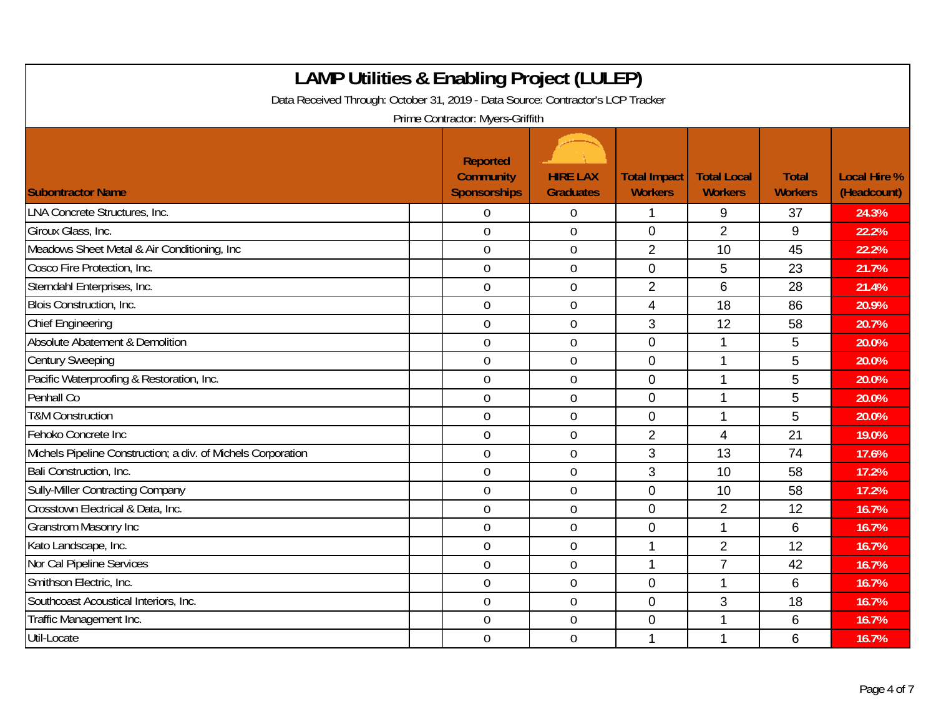| <b>LAMP Utilities &amp; Enabling Project (LULEP)</b><br>Data Received Through: October 31, 2019 - Data Source: Contractor's LCP Tracker<br>Prime Contractor: Myers-Griffith |                                                            |                                     |                                       |                                      |                                |                                    |  |  |
|-----------------------------------------------------------------------------------------------------------------------------------------------------------------------------|------------------------------------------------------------|-------------------------------------|---------------------------------------|--------------------------------------|--------------------------------|------------------------------------|--|--|
| <b>Subontractor Name</b>                                                                                                                                                    | <b>Reported</b><br><b>Community</b><br><b>Sponsorships</b> | <b>HIRE LAX</b><br><b>Graduates</b> | <b>Total Impact</b><br><b>Workers</b> | <b>Total Local</b><br><b>Workers</b> | <b>Total</b><br><b>Workers</b> | <b>Local Hire %</b><br>(Headcount) |  |  |
| LNA Concrete Structures, Inc.                                                                                                                                               | 0                                                          | $\overline{0}$                      | 1                                     | 9                                    | 37                             | 24.3%                              |  |  |
| Giroux Glass, Inc.                                                                                                                                                          | $\overline{0}$                                             | $\mathbf 0$                         | $\overline{0}$                        | $\overline{2}$                       | 9                              | 22.2%                              |  |  |
| Meadows Sheet Metal & Air Conditioning, Inc                                                                                                                                 | $\mathbf 0$                                                | $\overline{0}$                      | $\overline{2}$                        | 10                                   | 45                             | 22.2%                              |  |  |
| Cosco Fire Protection, Inc.                                                                                                                                                 | $\mathbf 0$                                                | $\boldsymbol{0}$                    | $\mathbf 0$                           | 5                                    | 23                             | 21.7%                              |  |  |
| Sterndahl Enterprises, Inc.                                                                                                                                                 | $\overline{0}$                                             | $\overline{0}$                      | $\overline{2}$                        | 6                                    | 28                             | 21.4%                              |  |  |
| Blois Construction, Inc.                                                                                                                                                    | $\overline{0}$                                             | $\boldsymbol{0}$                    | $\overline{4}$                        | 18                                   | 86                             | 20.9%                              |  |  |
| <b>Chief Engineering</b>                                                                                                                                                    | $\overline{0}$                                             | $\mathbf 0$                         | 3                                     | 12                                   | 58                             | 20.7%                              |  |  |
| Absolute Abatement & Demolition                                                                                                                                             | $\overline{0}$                                             | $\overline{0}$                      | $\overline{0}$                        | 1                                    | 5                              | 20.0%                              |  |  |
| <b>Century Sweeping</b>                                                                                                                                                     | $\mathbf 0$                                                | $\overline{0}$                      | $\mathbf 0$                           | 1                                    | 5                              | 20.0%                              |  |  |
| Pacific Waterproofing & Restoration, Inc.                                                                                                                                   | $\mathbf 0$                                                | $\mathbf 0$                         | $\mathbf{0}$                          | 1                                    | 5                              | 20.0%                              |  |  |
| Penhall Co                                                                                                                                                                  | $\overline{0}$                                             | $\mathbf 0$                         | $\overline{0}$                        | 1                                    | 5                              | 20.0%                              |  |  |
| <b>T&amp;M Construction</b>                                                                                                                                                 | $\mathbf 0$                                                | $\mathbf 0$                         | $\mathbf 0$                           | 1                                    | 5                              | 20.0%                              |  |  |
| Fehoko Concrete Inc                                                                                                                                                         | $\overline{0}$                                             | $\overline{0}$                      | $\overline{2}$                        | 4                                    | 21                             | 19.0%                              |  |  |
| Michels Pipeline Construction; a div. of Michels Corporation                                                                                                                | $\overline{0}$                                             | $\mathbf 0$                         | 3                                     | 13                                   | 74                             | 17.6%                              |  |  |
| Bali Construction, Inc.                                                                                                                                                     | $\mathbf 0$                                                | $\pmb{0}$                           | 3                                     | 10                                   | 58                             | 17.2%                              |  |  |
| Sully-Miller Contracting Company                                                                                                                                            | $\mathbf 0$                                                | $\boldsymbol{0}$                    | $\mathbf{0}$                          | 10                                   | 58                             | 17.2%                              |  |  |
| Crosstown Electrical & Data, Inc.                                                                                                                                           | $\overline{0}$                                             | $\overline{0}$                      | $\overline{0}$                        | $\overline{2}$                       | 12                             | 16.7%                              |  |  |
| <b>Granstrom Masonry Inc</b>                                                                                                                                                | $\mathbf 0$                                                | $\boldsymbol{0}$                    | $\mathbf 0$                           | $\mathbf 1$                          | 6                              | 16.7%                              |  |  |
| Kato Landscape, Inc.                                                                                                                                                        | $\theta$                                                   | $\mathbf 0$                         | 1                                     | $\overline{2}$                       | 12                             | 16.7%                              |  |  |
| Nor Cal Pipeline Services                                                                                                                                                   | $\overline{0}$                                             | $\overline{0}$                      | 1                                     | $\overline{7}$                       | 42                             | 16.7%                              |  |  |
| Smithson Electric, Inc.                                                                                                                                                     | $\mathbf 0$                                                | $\boldsymbol{0}$                    | $\mathbf 0$                           | 1                                    | 6                              | 16.7%                              |  |  |
| Southcoast Acoustical Interiors, Inc.                                                                                                                                       | $\theta$                                                   | $\mathbf 0$                         | $\overline{0}$                        | 3                                    | 18                             | 16.7%                              |  |  |
| Traffic Management Inc.                                                                                                                                                     | $\mathbf 0$                                                | $\mathbf 0$                         | $\mathbf 0$                           | 1                                    | 6                              | 16.7%                              |  |  |
| Util-Locate                                                                                                                                                                 | $\mathbf 0$                                                | $\mathbf 0$                         | 1                                     | 1                                    | 6                              | 16.7%                              |  |  |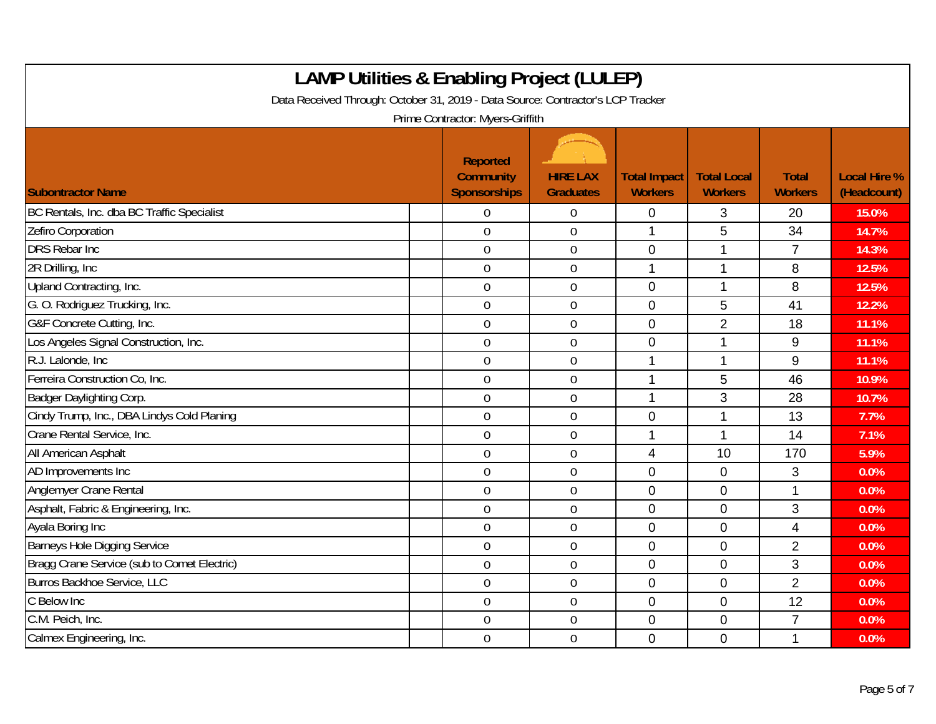| <b>LAMP Utilities &amp; Enabling Project (LULEP)</b><br>Data Received Through: October 31, 2019 - Data Source: Contractor's LCP Tracker<br>Prime Contractor: Myers-Griffith |                                                     |                                     |                                       |                                      |                                |                                    |  |
|-----------------------------------------------------------------------------------------------------------------------------------------------------------------------------|-----------------------------------------------------|-------------------------------------|---------------------------------------|--------------------------------------|--------------------------------|------------------------------------|--|
| <b>Subontractor Name</b>                                                                                                                                                    | Reported<br><b>Community</b><br><b>Sponsorships</b> | <b>HIRE LAX</b><br><b>Graduates</b> | <b>Total Impact</b><br><b>Workers</b> | <b>Total Local</b><br><b>Workers</b> | <b>Total</b><br><b>Workers</b> | <b>Local Hire %</b><br>(Headcount) |  |
| BC Rentals, Inc. dba BC Traffic Specialist                                                                                                                                  | $\Omega$                                            | $\mathbf 0$                         | $\mathbf 0$                           | 3                                    | 20                             | 15.0%                              |  |
| Zefiro Corporation                                                                                                                                                          | $\overline{0}$                                      | $\mathbf 0$                         | 1                                     | 5                                    | 34                             | 14.7%                              |  |
| <b>DRS Rebar Inc</b>                                                                                                                                                        | $\overline{0}$                                      | $\boldsymbol{0}$                    | $\pmb{0}$                             | 1                                    | $\overline{7}$                 | 14.3%                              |  |
| 2R Drilling, Inc.                                                                                                                                                           | $\mathbf 0$                                         | $\boldsymbol{0}$                    | $\mathbf 1$                           | 1                                    | 8                              | 12.5%                              |  |
| Upland Contracting, Inc.                                                                                                                                                    | $\overline{0}$                                      | $\mathbf 0$                         | $\overline{0}$                        | 1                                    | 8                              | 12.5%                              |  |
| G. O. Rodriguez Trucking, Inc.                                                                                                                                              | $\overline{0}$                                      | $\mathbf 0$                         | $\overline{0}$                        | 5                                    | 41                             | 12.2%                              |  |
| G&F Concrete Cutting, Inc.                                                                                                                                                  | $\mathbf 0$                                         | $\mathbf 0$                         | $\overline{0}$                        | $\overline{2}$                       | 18                             | 11.1%                              |  |
| Los Angeles Signal Construction, Inc.                                                                                                                                       | $\mathbf 0$                                         | $\mathbf 0$                         | $\mathbf 0$                           | 1                                    | 9                              | 11.1%                              |  |
| R.J. Lalonde, Inc.                                                                                                                                                          | $\mathbf 0$                                         | $\mathbf 0$                         |                                       | 1                                    | $\boldsymbol{9}$               | 11.1%                              |  |
| Ferreira Construction Co, Inc.                                                                                                                                              | $\mathbf 0$                                         | $\mathbf 0$                         | $\mathbf 1$                           | 5                                    | 46                             | 10.9%                              |  |
| Badger Daylighting Corp.                                                                                                                                                    | $\mathbf 0$                                         | $\mathbf 0$                         | 1                                     | 3                                    | 28                             | 10.7%                              |  |
| Cindy Trump, Inc., DBA Lindys Cold Planing                                                                                                                                  | $\overline{0}$                                      | $\boldsymbol{0}$                    | $\mathbf 0$                           | 1                                    | 13                             | 7.7%                               |  |
| Crane Rental Service, Inc.                                                                                                                                                  | $\mathbf 0$                                         | $\mathbf 0$                         | 1                                     | 1                                    | 14                             | 7.1%                               |  |
| All American Asphalt                                                                                                                                                        | $\overline{0}$                                      | $\mathbf 0$                         | $\overline{4}$                        | 10                                   | 170                            | 5.9%                               |  |
| AD Improvements Inc                                                                                                                                                         | $\mathbf 0$                                         | $\overline{0}$                      | $\overline{0}$                        | $\overline{0}$                       | 3                              | 0.0%                               |  |
| Anglemyer Crane Rental                                                                                                                                                      | $\boldsymbol{0}$                                    | $\boldsymbol{0}$                    | $\mathbf 0$                           | $\mathbf 0$                          | 1                              | 0.0%                               |  |
| Asphalt, Fabric & Engineering, Inc.                                                                                                                                         | $\overline{0}$                                      | $\mathbf 0$                         | $\overline{0}$                        | $\overline{0}$                       | 3                              | 0.0%                               |  |
| Ayala Boring Inc                                                                                                                                                            | $\overline{0}$                                      | $\mathbf 0$                         | $\overline{0}$                        | $\overline{0}$                       | 4                              | 0.0%                               |  |
| <b>Barneys Hole Digging Service</b>                                                                                                                                         | $\mathbf 0$                                         | $\overline{0}$                      | $\mathbf 0$                           | $\mathbf 0$                          | $\overline{2}$                 | 0.0%                               |  |
| Bragg Crane Service (sub to Comet Electric)                                                                                                                                 | $\mathbf 0$                                         | $\mathbf 0$                         | $\overline{0}$                        | $\overline{0}$                       | 3                              | 0.0%                               |  |
| Burros Backhoe Service, LLC                                                                                                                                                 | $\overline{0}$                                      | $\mathbf 0$                         | $\mathbf 0$                           | $\mathbf 0$                          | $\overline{2}$                 | 0.0%                               |  |
| C Below Inc                                                                                                                                                                 | $\boldsymbol{0}$                                    | $\boldsymbol{0}$                    | $\mathbf 0$                           | $\mathbf 0$                          | 12                             | 0.0%                               |  |
| C.M. Peich, Inc.                                                                                                                                                            | $\overline{0}$                                      | $\mathbf 0$                         | $\overline{0}$                        | $\overline{0}$                       | $\overline{7}$                 | 0.0%                               |  |
| Calmex Engineering, Inc.                                                                                                                                                    | $\overline{0}$                                      | $\overline{0}$                      | $\Omega$                              | $\Omega$                             | 1                              | 0.0%                               |  |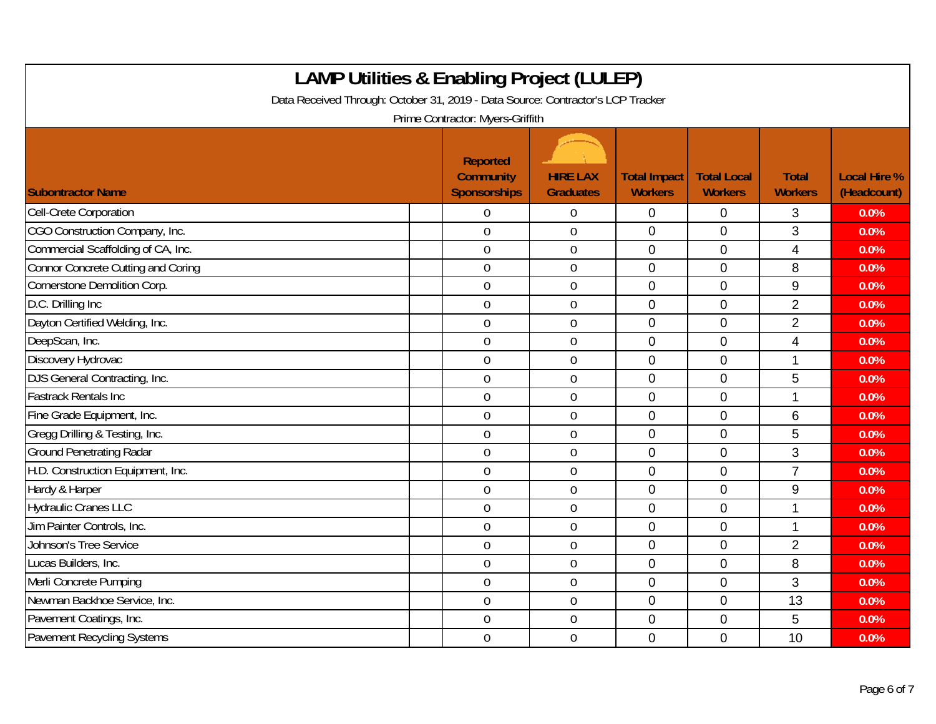| <b>LAMP Utilities &amp; Enabling Project (LULEP)</b><br>Data Received Through: October 31, 2019 - Data Source: Contractor's LCP Tracker<br>Prime Contractor: Myers-Griffith |                                                     |                                     |                                       |                                      |                                |                                    |  |  |
|-----------------------------------------------------------------------------------------------------------------------------------------------------------------------------|-----------------------------------------------------|-------------------------------------|---------------------------------------|--------------------------------------|--------------------------------|------------------------------------|--|--|
| <b>Subontractor Name</b>                                                                                                                                                    | Reported<br><b>Community</b><br><b>Sponsorships</b> | <b>HIRE LAX</b><br><b>Graduates</b> | <b>Total Impact</b><br><b>Workers</b> | <b>Total Local</b><br><b>Workers</b> | <b>Total</b><br><b>Workers</b> | <b>Local Hire %</b><br>(Headcount) |  |  |
| Cell-Crete Corporation                                                                                                                                                      | $\overline{0}$                                      | $\overline{0}$                      | $\mathbf 0$                           | 0                                    | 3                              | 0.0%                               |  |  |
| CGO Construction Company, Inc.                                                                                                                                              | $\overline{0}$                                      | $\mathbf 0$                         | $\overline{0}$                        | $\overline{0}$                       | 3                              | 0.0%                               |  |  |
| Commercial Scaffolding of CA, Inc.                                                                                                                                          | $\mathbf 0$                                         | $\boldsymbol{0}$                    | $\mathbf 0$                           | $\overline{0}$                       | $\overline{4}$                 | 0.0%                               |  |  |
| <b>Connor Concrete Cutting and Coring</b>                                                                                                                                   | $\overline{0}$                                      | $\overline{0}$                      | 0                                     | $\overline{0}$                       | 8                              | 0.0%                               |  |  |
| Cornerstone Demolition Corp.                                                                                                                                                | $\overline{0}$                                      | $\overline{0}$                      | 0                                     | $\mathbf 0$                          | 9                              | 0.0%                               |  |  |
| D.C. Drilling Inc                                                                                                                                                           | $\mathbf 0$                                         | $\boldsymbol{0}$                    | $\overline{0}$                        | $\mathbf 0$                          | $\overline{2}$                 | 0.0%                               |  |  |
| Dayton Certified Welding, Inc.                                                                                                                                              | $\overline{0}$                                      | $\mathbf 0$                         | $\overline{0}$                        | $\mathbf{0}$                         | $\overline{2}$                 | 0.0%                               |  |  |
| DeepScan, Inc.                                                                                                                                                              | $\overline{0}$                                      | $\mathbf 0$                         | $\overline{0}$                        | $\overline{0}$                       | 4                              | 0.0%                               |  |  |
| Discovery Hydrovac                                                                                                                                                          | $\mathbf 0$                                         | $\overline{0}$                      | $\mathbf 0$                           | $\overline{0}$                       | 1                              | 0.0%                               |  |  |
| DJS General Contracting, Inc.                                                                                                                                               | $\boldsymbol{0}$                                    | $\overline{0}$                      | $\mathbf 0$                           | $\mathbf 0$                          | 5                              | 0.0%                               |  |  |
| <b>Fastrack Rentals Inc</b>                                                                                                                                                 | $\overline{0}$                                      | $\mathbf 0$                         | 0                                     | $\overline{0}$                       | 1                              | 0.0%                               |  |  |
| Fine Grade Equipment, Inc.                                                                                                                                                  | $\overline{0}$                                      | $\mathbf 0$                         | $\overline{0}$                        | $\overline{0}$                       | 6                              | 0.0%                               |  |  |
| Gregg Drilling & Testing, Inc.                                                                                                                                              | $\mathbf 0$                                         | $\mathbf 0$                         | 0                                     | $\overline{0}$                       | 5                              | 0.0%                               |  |  |
| <b>Ground Penetrating Radar</b>                                                                                                                                             | $\overline{0}$                                      | $\boldsymbol{0}$                    | 0                                     | $\mathbf 0$                          | 3                              | 0.0%                               |  |  |
| H.D. Construction Equipment, Inc.                                                                                                                                           | $\mathbf 0$                                         | $\boldsymbol{0}$                    | $\mathbf 0$                           | $\mathbf 0$                          | $\overline{7}$                 | 0.0%                               |  |  |
| Hardy & Harper                                                                                                                                                              | $\mathbf 0$                                         | $\mathbf 0$                         | 0                                     | $\mathbf 0$                          | 9                              | 0.0%                               |  |  |
| <b>Hydraulic Cranes LLC</b>                                                                                                                                                 | $\overline{0}$                                      | $\overline{0}$                      | 0                                     | $\overline{0}$                       | 1                              | 0.0%                               |  |  |
| Jim Painter Controls, Inc.                                                                                                                                                  | $\overline{0}$                                      | $\overline{0}$                      | 0                                     | $\mathbf 0$                          | $\mathbf 1$                    | 0.0%                               |  |  |
| Johnson's Tree Service                                                                                                                                                      | $\mathbf 0$                                         | $\mathbf 0$                         | $\overline{0}$                        | $\mathbf 0$                          | $\overline{2}$                 | 0.0%                               |  |  |
| Lucas Builders, Inc.                                                                                                                                                        | $\theta$                                            | $\mathbf 0$                         | 0                                     | $\mathbf{0}$                         | 8                              | 0.0%                               |  |  |
| Merli Concrete Pumping                                                                                                                                                      | $\theta$                                            | $\mathbf 0$                         | 0                                     | $\mathbf 0$                          | 3                              | 0.0%                               |  |  |
| Newman Backhoe Service, Inc.                                                                                                                                                | $\overline{0}$                                      | $\mathbf 0$                         | 0                                     | $\overline{0}$                       | 13                             | 0.0%                               |  |  |
| Pavement Coatings, Inc.                                                                                                                                                     | $\overline{0}$                                      | $\overline{0}$                      | 0                                     | $\mathbf 0$                          | 5                              | 0.0%                               |  |  |
| <b>Pavement Recycling Systems</b>                                                                                                                                           | $\mathbf 0$                                         | $\mathbf 0$                         | $\overline{0}$                        | $\mathbf{0}$                         | 10                             | 0.0%                               |  |  |